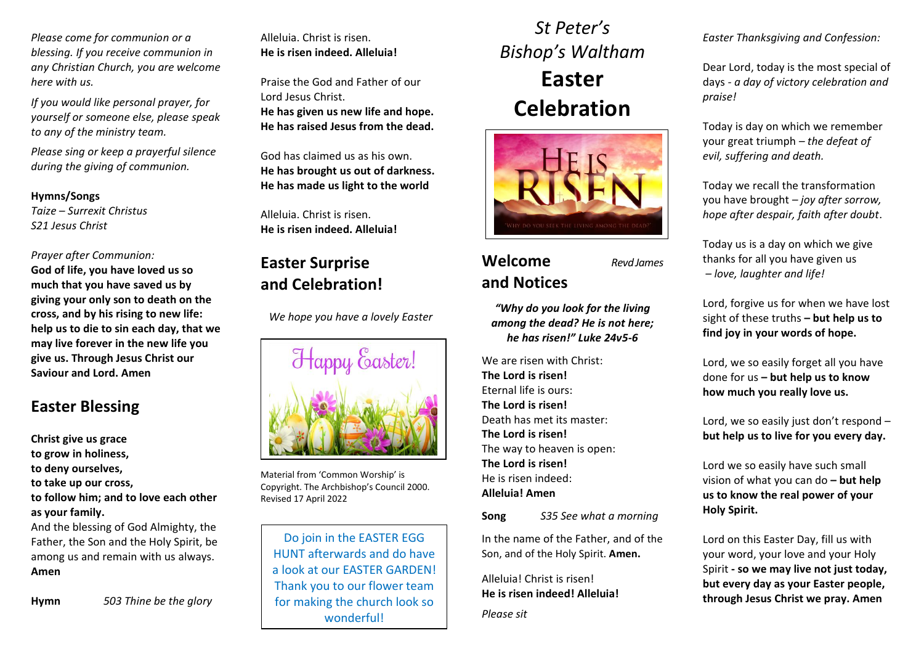*Please come for communion or a blessing. If you receive communion in any Christian Church, you are welcome here with us.*

*If you would like personal prayer, for yourself or someone else, please speak to any of the ministry team.*

*Please sing or keep a prayerful silence during the giving of communion.*

#### **Hymns/Songs**

*Taize – Surrexit Christus S21 Jesus Christ* 

#### *Prayer after Communion:*

**God of life, you have loved us so much that you have saved us by giving your only son to death on the cross, and by his rising to new life: help us to die to sin each day, that we may live forever in the new life you give us. Through Jesus Christ our Saviour and Lord. Amen**

### **Easter Blessing**

**Christ give us grace to grow in holiness, to deny ourselves, to take up our cross, to follow him; and to love each other as your family.** And the blessing of God Almighty, the Father, the Son and the Holy Spirit, be among us and remain with us always. **Amen**

**Hymn** *503 Thine be the glory*

Alleluia. Christ is risen. **He is risen indeed. Alleluia!**

Praise the God and Father of our Lord Jesus Christ. **He has given us new life and hope. He has raised Jesus from the dead.**

God has claimed us as his own. **He has brought us out of darkness. He has made us light to the world**

Alleluia. Christ is risen. **He is risen indeed. Alleluia!**

### **Easter Surprise and Celebration!**

 *We hope you have a lovely Easter*



Material from 'Common Worship' is Copyright. The Archbishop's Council 2000. Revised 17 April 2022

Do join in the EASTER EGG HUNT afterwards and do have a look at our EASTER GARDEN! Thank you to our flower team for making the church look so wonderful!

# *St Peter's Bishop's Waltham* **Easter Celebration**



## **Welcome** *Revd James* **and Notices**

*"Why do you look for the living among the dead? He is not here; he has risen!" Luke 24v5-6*

We are risen with Christ: **The Lord is risen!** Eternal life is ours: **The Lord is risen!** Death has met its master: **The Lord is risen!** The way to heaven is open: **The Lord is risen!** He is risen indeed: **Alleluia! Amen**

**Song** *S35 See what a morning*

In the name of the Father, and of the Son, and of the Holy Spirit. **Amen.**

Alleluia! Christ is risen! **He is risen indeed! Alleluia!** *Please sit*

*Easter Thanksgiving and Confession:*

Dear Lord, today is the most special of days *- a day of victory celebration and praise!*

Today is day on which we remember your great triumph *– the defeat of evil, suffering and death.*

Today we recall the transformation you have brought *– joy after sorrow, hope after despair, faith after doubt*.

Today us is a day on which we give thanks for all you have given us *– love, laughter and life!*

Lord, forgive us for when we have lost sight of these truths **– but help us to find joy in your words of hope.**

Lord, we so easily forget all you have done for us **– but help us to know how much you really love us.**

Lord, we so easily just don't respond – **but help us to live for you every day.**

Lord we so easily have such small vision of what you can do **– but help us to know the real power of your Holy Spirit.**

Lord on this Easter Day, fill us with your word, your love and your Holy Spirit **- so we may live not just today, but every day as your Easter people, through Jesus Christ we pray. Amen**